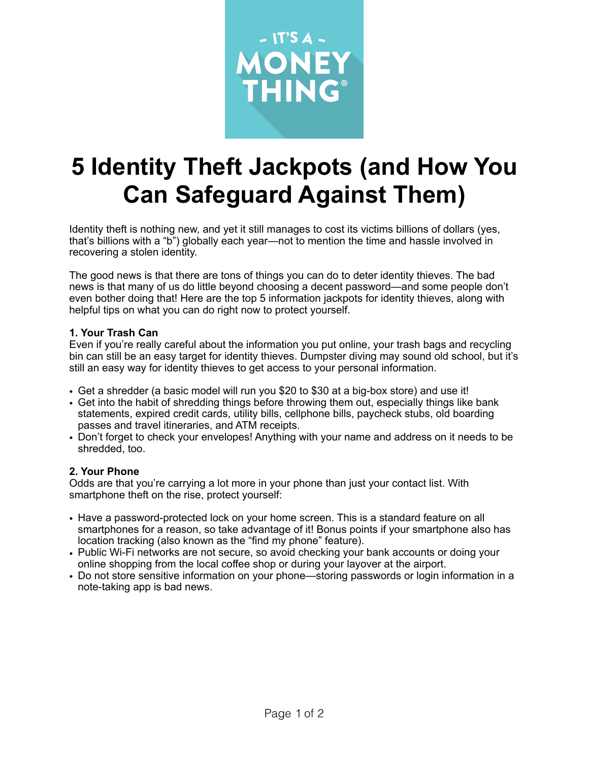

# **5 Identity Theft Jackpots (and How You Can Safeguard Against Them)**

Identity theft is nothing new, and yet it still manages to cost its victims billions of dollars (yes, that's billions with a "b") globally each year—not to mention the time and hassle involved in recovering a stolen identity.

The good news is that there are tons of things you can do to deter identity thieves. The bad news is that many of us do little beyond choosing a decent password—and some people don't even bother doing that! Here are the top 5 information jackpots for identity thieves, along with helpful tips on what you can do right now to protect yourself.

#### **1. Your Trash Can**

Even if you're really careful about the information you put online, your trash bags and recycling bin can still be an easy target for identity thieves. Dumpster diving may sound old school, but it's still an easy way for identity thieves to get access to your personal information.

- Get a shredder (a basic model will run you \$20 to \$30 at a big-box store) and use it!
- Get into the habit of shredding things before throwing them out, especially things like bank statements, expired credit cards, utility bills, cellphone bills, paycheck stubs, old boarding passes and travel itineraries, and ATM receipts.
- Don't forget to check your envelopes! Anything with your name and address on it needs to be shredded, too.

### **2. Your Phone**

Odds are that you're carrying a lot more in your phone than just your contact list. With smartphone theft on the rise, protect yourself:

- Have a password-protected lock on your home screen. This is a standard feature on all smartphones for a reason, so take advantage of it! Bonus points if your smartphone also has location tracking (also known as the "find my phone" feature).
- Public Wi-Fi networks are not secure, so avoid checking your bank accounts or doing your online shopping from the local coffee shop or during your layover at the airport.
- Do not store sensitive information on your phone—storing passwords or login information in a note-taking app is bad news.